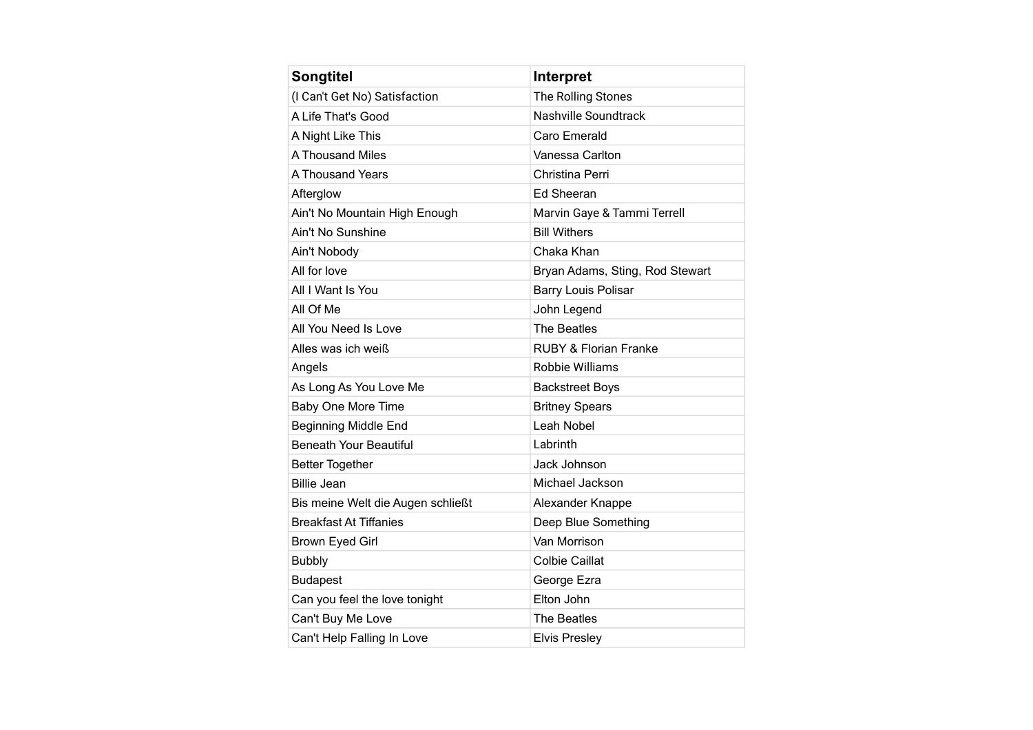| <b>Songtitel</b>                  | <b>Interpret</b>                 |
|-----------------------------------|----------------------------------|
| (I Can't Get No) Satisfaction     | The Rolling Stones               |
| A Life That's Good                | <b>Nashville Soundtrack</b>      |
| A Night Like This                 | Caro Emerald                     |
| A Thousand Miles                  | Vanessa Carlton                  |
| A Thousand Years                  | Christina Perri                  |
| Afterglow                         | <b>Ed Sheeran</b>                |
| Ain't No Mountain High Enough     | Marvin Gaye & Tammi Terrell      |
| Ain't No Sunshine                 | <b>Bill Withers</b>              |
| Ain't Nobody                      | Chaka Khan                       |
| All for love                      | Bryan Adams, Sting, Rod Stewart  |
| All I Want Is You                 | <b>Barry Louis Polisar</b>       |
| All Of Me                         | John Legend                      |
| All You Need Is Love              | The Beatles                      |
| Alles was ich weiß                | <b>RUBY &amp; Florian Franke</b> |
| Angels                            | <b>Robbie Williams</b>           |
| As Long As You Love Me            | <b>Backstreet Boys</b>           |
| Baby One More Time                | <b>Britney Spears</b>            |
| <b>Beginning Middle End</b>       | Leah Nobel                       |
| <b>Beneath Your Beautiful</b>     | I abrinth                        |
| <b>Better Together</b>            | Jack Johnson                     |
| <b>Billie Jean</b>                | Michael Jackson                  |
| Bis meine Welt die Augen schließt | Alexander Knappe                 |
| <b>Breakfast At Tiffanies</b>     | Deep Blue Something              |
| Brown Eyed Girl                   | Van Morrison                     |
| <b>Bubbly</b>                     | <b>Colbie Caillat</b>            |
| <b>Budapest</b>                   | George Ezra                      |
| Can you feel the love tonight     | Elton John                       |
| Can't Buy Me Love                 | The Beatles                      |
| Can't Help Falling In Love        | <b>Elvis Presley</b>             |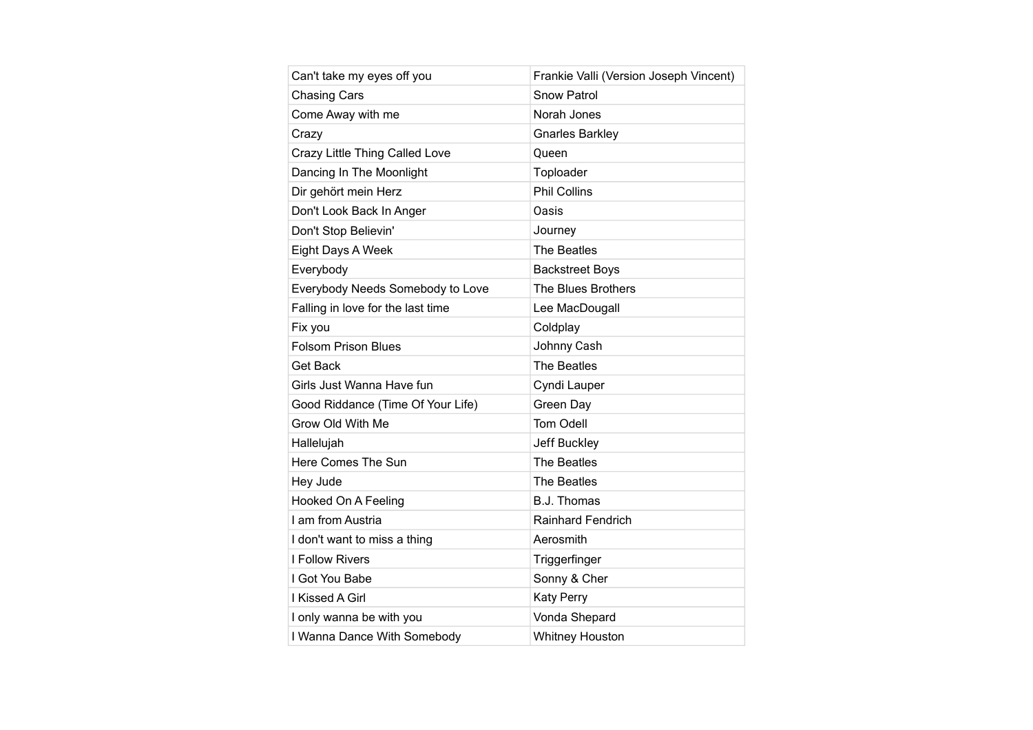| Can't take my eyes off you        | Frankie Valli (Version Joseph Vincent) |
|-----------------------------------|----------------------------------------|
| <b>Chasing Cars</b>               | <b>Snow Patrol</b>                     |
| Come Away with me                 | Norah Jones                            |
| Crazy                             | <b>Gnarles Barkley</b>                 |
| Crazy Little Thing Called Love    | Queen                                  |
| Dancing In The Moonlight          | Toploader                              |
| Dir gehört mein Herz              | <b>Phil Collins</b>                    |
| Don't Look Back In Anger          | Oasis                                  |
| Don't Stop Believin'              | Journey                                |
| Eight Days A Week                 | The Beatles                            |
| Everybody                         | <b>Backstreet Boys</b>                 |
| Everybody Needs Somebody to Love  | <b>The Blues Brothers</b>              |
| Falling in love for the last time | Lee MacDougall                         |
| Fix you                           | Coldplay                               |
| <b>Folsom Prison Blues</b>        | Johnny Cash                            |
| Get Back                          | The Beatles                            |
| Girls Just Wanna Have fun         | Cyndi Lauper                           |
| Good Riddance (Time Of Your Life) | Green Day                              |
| Grow Old With Me                  | Tom Odell                              |
| Hallelujah                        | Jeff Buckley                           |
| Here Comes The Sun                | The Beatles                            |
| Hey Jude                          | The Beatles                            |
| Hooked On A Feeling               | <b>B.J. Thomas</b>                     |
| I am from Austria                 | Rainhard Fendrich                      |
| I don't want to miss a thing      | Aerosmith                              |
| I Follow Rivers                   | Triggerfinger                          |
| I Got You Babe                    | Sonny & Cher                           |
| I Kissed A Girl                   | <b>Katy Perry</b>                      |
| I only wanna be with you          | Vonda Shepard                          |
| I Wanna Dance With Somebody       | <b>Whitney Houston</b>                 |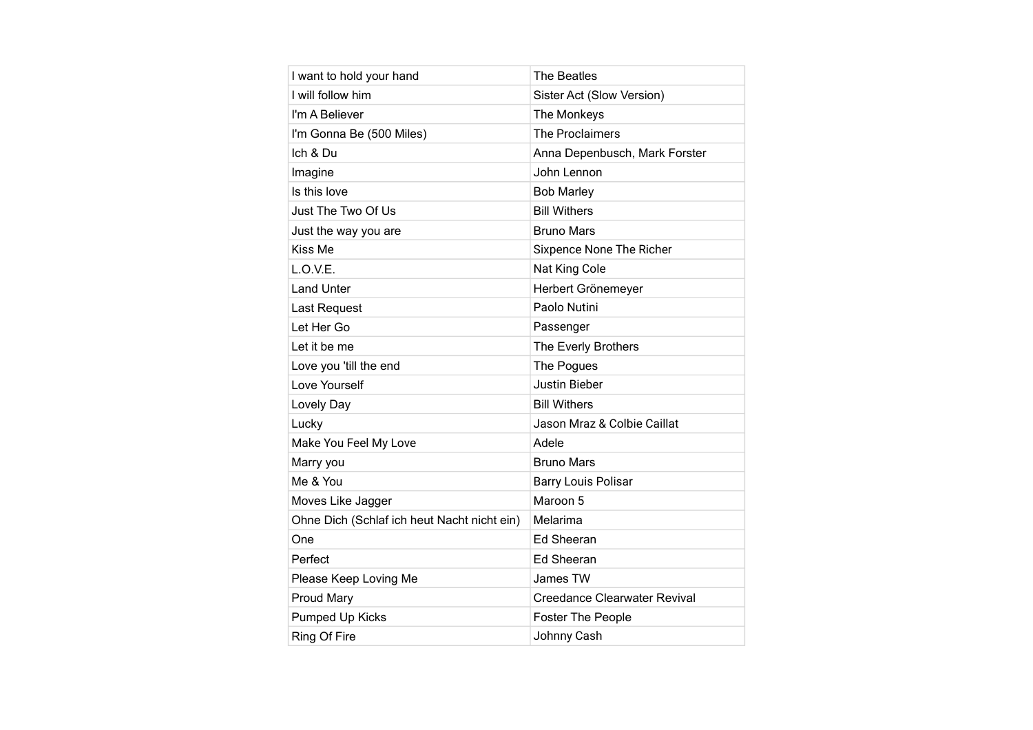| I want to hold your hand                    | The Beatles                         |
|---------------------------------------------|-------------------------------------|
| I will follow him                           | Sister Act (Slow Version)           |
| I'm A Believer                              | The Monkeys                         |
| I'm Gonna Be (500 Miles)                    | <b>The Proclaimers</b>              |
| Ich & Du                                    | Anna Depenbusch, Mark Forster       |
| Imagine                                     | John Lennon                         |
| Is this love                                | <b>Bob Marley</b>                   |
| Just The Two Of Us                          | <b>Bill Withers</b>                 |
| Just the way you are                        | <b>Bruno Mars</b>                   |
| Kiss Me                                     | Sixpence None The Richer            |
| L.O.V.E.                                    | Nat King Cole                       |
| <b>Land Unter</b>                           | Herbert Grönemeyer                  |
| Last Request                                | Paolo Nutini                        |
| Let Her Go                                  | Passenger                           |
| Let it be me                                | The Everly Brothers                 |
| Love you 'till the end                      | The Pogues                          |
| Love Yourself                               | <b>Justin Bieber</b>                |
| Lovely Day                                  | <b>Bill Withers</b>                 |
| Lucky                                       | Jason Mraz & Colbie Caillat         |
| Make You Feel My Love                       | Adele                               |
| Marry you                                   | <b>Bruno Mars</b>                   |
| Me & You                                    | <b>Barry Louis Polisar</b>          |
| Moves Like Jagger                           | Maroon 5                            |
| Ohne Dich (Schlaf ich heut Nacht nicht ein) | Melarima                            |
| One                                         | Ed Sheeran                          |
| Perfect                                     | Ed Sheeran                          |
| Please Keep Loving Me                       | James TW                            |
| <b>Proud Mary</b>                           | <b>Creedance Clearwater Revival</b> |
| Pumped Up Kicks                             | <b>Foster The People</b>            |
| Ring Of Fire                                | Johnny Cash                         |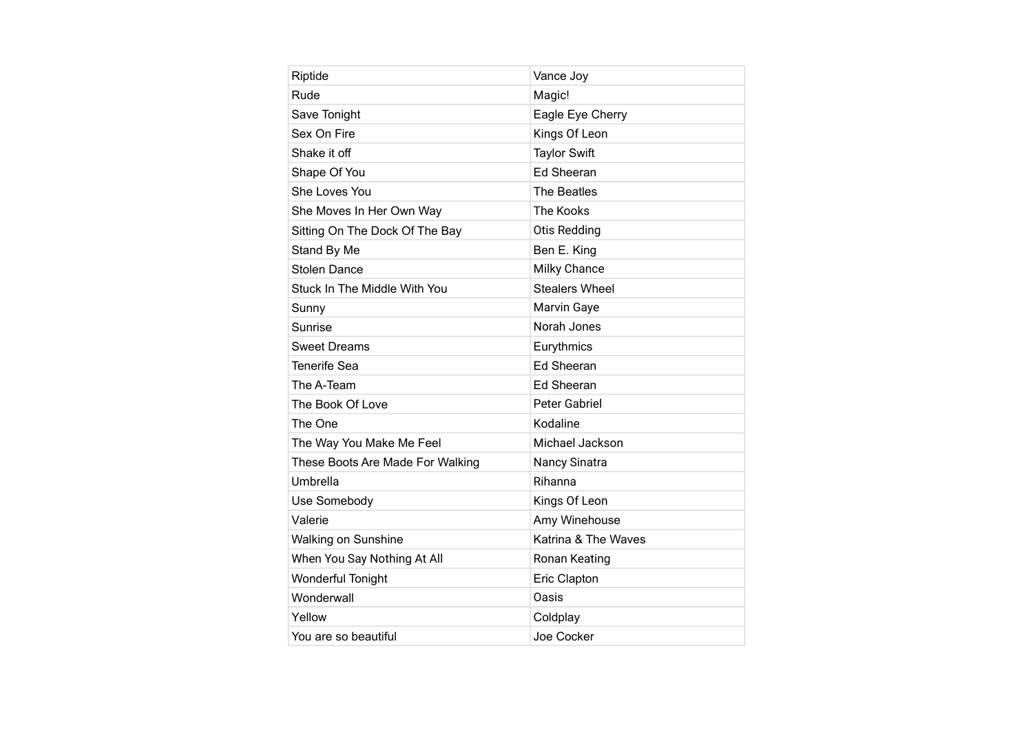| Riptide                          | Vance Joy             |
|----------------------------------|-----------------------|
| Rude                             | Magic!                |
| Save Tonight                     | Eagle Eye Cherry      |
| Sex On Fire                      | Kings Of Leon         |
| Shake it off                     | <b>Taylor Swift</b>   |
| Shape Of You                     | <b>Ed Sheeran</b>     |
| She Loves You                    | The Beatles           |
| She Moves In Her Own Way         | The Kooks             |
| Sitting On The Dock Of The Bay   | <b>Otis Redding</b>   |
| Stand By Me                      | Ben E. King           |
| <b>Stolen Dance</b>              | <b>Milky Chance</b>   |
| Stuck In The Middle With You     | <b>Stealers Wheel</b> |
| Sunny                            | <b>Marvin Gaye</b>    |
| Sunrise                          | Norah Jones           |
| <b>Sweet Dreams</b>              | Eurythmics            |
| <b>Tenerife Sea</b>              | <b>Ed Sheeran</b>     |
| The A-Team                       | Ed Sheeran            |
| The Book Of Love                 | Peter Gabriel         |
| The One                          | Kodaline              |
| The Way You Make Me Feel         | Michael Jackson       |
| These Boots Are Made For Walking | Nancy Sinatra         |
| Umbrella                         | Rihanna               |
| Use Somebody                     | Kings Of Leon         |
| Valerie                          | Amy Winehouse         |
| Walking on Sunshine              | Katrina & The Waves   |
| When You Say Nothing At All      | Ronan Keating         |
| <b>Wonderful Tonight</b>         | Eric Clapton          |
| Wonderwall                       | <b>Oasis</b>          |
| Yellow                           | Coldplay              |
| You are so beautiful             | Joe Cocker            |